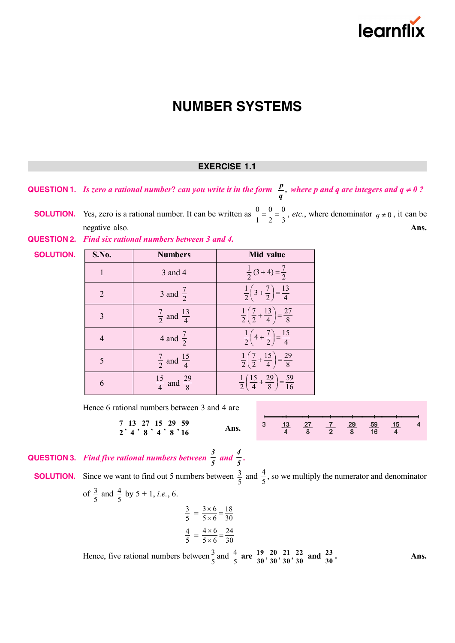

### **EXERCISE 1.1**

**QUESTION 1.** *Is zero a rational number? can you write it in the form*  $\frac{p}{q}$ , where p and q are integers and  $q \neq 0$ ?

**SOLUTION.** Yes, zero is a rational number. It can be written as  $\frac{0}{1} = \frac{0}{2} = \frac{0}{3}$ , *etc.*, where denominator  $q \neq 0$ , it can be negative also. **Ans. Ans. Ans. Ans. Ans. Ans. Ans. Ans. Ans. Ans. Ans. Ans. Ans. Ans. Ans. Ans. Ans. Ans. Ans. Ans. Ans. Ans. Ans. Ans. Ans. Ans. Ans. Ans. Ans. Ans** 

| <b>QUESTION 2.</b> Find six rational numbers between 3 and 4. |  |  |
|---------------------------------------------------------------|--|--|
|---------------------------------------------------------------|--|--|

| S.No.          | <b>Numbers</b>                    | Mid value                                                                |
|----------------|-----------------------------------|--------------------------------------------------------------------------|
| 1              | 3 and 4                           | $\frac{1}{2}(3+4)=\frac{7}{2}$                                           |
| 2              | 3 and $\frac{7}{2}$               | $rac{1}{2}$ $\left(3+\frac{7}{2}\right)=\frac{13}{4}$                    |
| $\mathcal{E}$  | $\frac{7}{2}$ and $\frac{13}{4}$  | $rac{1}{2} igg(\frac{7}{2} + \frac{13}{4} igg) = \frac{27}{8}$           |
| $\overline{4}$ | 4 and $\frac{7}{2}$               | $rac{1}{2}$ $\left(4+\frac{7}{2}\right)=\frac{15}{4}$                    |
| 5              | $\frac{7}{2}$ and $\frac{15}{4}$  | $rac{1}{2} igg(\frac{7}{2} + \frac{15}{4} igg) = \frac{29}{8}$           |
| 6              | $\frac{15}{4}$ and $\frac{29}{8}$ | $\frac{1}{2}$ $\left(\frac{15}{4} + \frac{29}{8}\right) = \frac{59}{16}$ |

Hence 6 rational numbers between 3 and 4 are

$$
\frac{7}{2}, \frac{13}{4}, \frac{27}{8}, \frac{15}{4}, \frac{29}{8}, \frac{59}{16}
$$
 Ans. 
$$
\frac{13}{4} \frac{27}{8} \frac{27}{2} \frac{7}{8} \frac{29}{16} \frac{59}{16} \frac{15}{4}
$$

**QUESTION 3.** *Find five rational numbers between 3*  $rac{3}{5}$  and  $rac{4}{5}$ *5 .*

 $\frac{7}{2}$ 

**SOLUTION.** 

**SOLUTION.** Since we want to find out 5 numbers between  $\frac{3}{5}$  and  $\frac{4}{5}$ , so we multiply the numerator and denominator of  $\frac{3}{5}$  and  $\frac{4}{5}$  by 5 + 1, *i.e.*, 6. 3  $\frac{3}{5} = \frac{3 \times 6}{5 \times 6} = \frac{18}{30}$  $5 \times 6$  30  $\frac{\times 6}{\times 6} =$ 4  $\frac{4}{5} = \frac{4 \times 6}{5 \times 6} = \frac{24}{30}$  $5 \times 6$  30  $\frac{\times 6}{\times 6} =$ 

Hence, five rational numbers between  $\frac{3}{5}$  and  $\frac{4}{5}$  **are**  $\frac{19}{30}, \frac{20}{30}, \frac{21}{30}, \frac{22}{30}$  **and**  $\frac{23}{30}$ 

**. Ans.**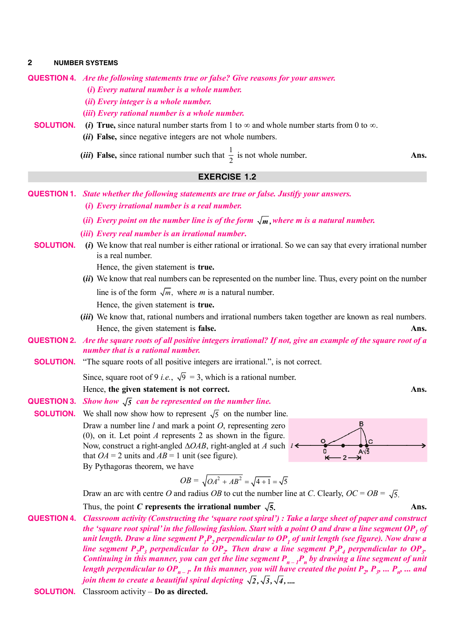**QUESTION 4.** *Are the following statements true or false? Give reasons for your answer.*

- **(***i***)** *Every natural number is a whole number.*
- **(***ii***)** *Every integer is a whole number.*
- **(***iii***)** *Every rational number is a whole number.*

### **SOLUTION.** (*i*) True, since natural number starts from 1 to  $\infty$  and whole number starts from 0 to  $\infty$ .

- **(***ii***) False,** since negative integers are not whole numbers.
- (*iii*) False, since rational number such that  $\frac{1}{2}$  is not whole number. **Ans.**

### **EXERCISE 1.2**

- **QUESTION 1.** *State whether the following statements are true or false. Justify your answers.*
	- **(***i***)** *Every irrational number is a real number.*
	- (*ii*) *Every point on the number line is of the form*  $\sqrt{m}$ , *where m is a natural number.*
	- **(***iii***)** *Every real number is an irrational number***.**

### **SOLUTION.** (*i*) We know that real number is either rational or irrational. So we can say that every irrational number is a real number.

Hence, the given statement is **true.**

- **(***ii***)** We know that real numbers can be represented on the number line. Thus, every point on the number line is of the form  $\sqrt{m}$ , where *m* is a natural number. Hence, the given statement is **true.**
- **(***iii***)** We know that, rational numbers and irrational numbers taken together are known as real numbers. Hence, the given statement is **false. Ans.**
- **QUESTION 2.** *Are the square roots of all positive integers irrational? If not, give an example of the square root of a number that is a rational number.*
	- **SOLUTION.** "The square roots of all positive integers are irrational.", is not correct.

Since, square root of 9 *i.e.*,  $\sqrt{9}$  = 3, which is a rational number.

Hence, **the given statement is not correct. Ans.**

**QUESTION 3.** *Show how*  $\sqrt{5}$  *can be represented on the number line.* 

**SOLUTION.** We shall now show how to represent  $\sqrt{5}$  on the number line. Draw a number line *l* and mark a point *O*, representing zero (0), on it. Let point *A* represents 2 as shown in the figure. Now, construct a right-angled  $\triangle OAB$ , right-angled at *A* such  $1 \triangleleft$ that  $OA = 2$  units and  $AB = 1$  unit (see figure). By Pythagoras theorem, we have



Draw an arc with centre O and radius OB to cut the number line at C. Clearly,  $OC = OB = \sqrt{5}$ .

Thus, the point *C* represents the irrational number  $\sqrt{5}$ . Ans.

**QUESTION 4.** *Classroom activity (Constructing the 'square root spiral') : Take a large sheet of paper and construct the 'square root spiral' in the following fashion. Start with a point O and draw a line segment OP<sup>1</sup> of unit length. Draw a line segment P<sup>1</sup> P2 perpendicular to OP<sup>1</sup> of unit length (see figure). Now draw a* line segment  $P_2P_3$  perpendicular to  $OP_2$ . Then draw a line segment  $P_3P_4$  perpendicular to  $OP_3$ . *Continuing in this manner, you can get the line segment Pn – 1P<sup>n</sup> by drawing a line segment of unit* length perpendicular to  $OP_{n-1}$ . In this manner, you will have created the point  $P_{_Z}$   $P_{_Z}$  ...  $P_{_{R'}}$  ... and *join them to create a beautiful spiral depicting*  $\sqrt{2}$ ,  $\sqrt{3}$ ,  $\sqrt{4}$ , ....

 **SOLUTION.** Classroom activity – **Do as directed.**

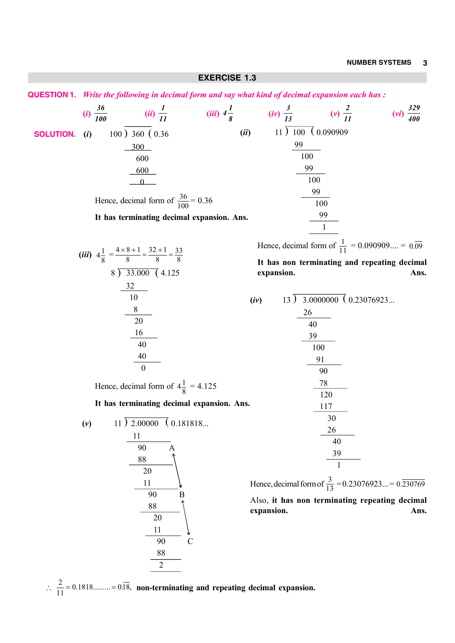**EXERCISE 1.3 QUESTION 1.** *Write the following in decimal form and say what kind of decimal expansion each has :*  $(i) \frac{36}{100}$  **(***ii***)**  *1 1 11 (iii)* $4\frac{1}{8}$  $(iv)$   $\frac{3}{13}$   $(v)$   $\frac{2}{13}$ *(vi*)  $\frac{329}{400}$  **SOLUTION.** (*i*) ) 360 ( 0.36  $\overline{0}$ Hence, decimal form of  $\frac{36}{100} = 0.36$ **It has terminating decimal expansion. Ans.**  $(iii)$  11  $\overline{)100}$  (0.090909) Hence, decimal form of  $\frac{1}{11} = 0.090909... = 0.0909$ **It has non terminating and repeating decimal expansion. Ans.** (*iii*)  $4\frac{1}{8} = \frac{4 \times 8 + 1}{8} = \frac{32 + 1}{8} = \frac{33}{8}$ 8 8 8  $\frac{x8+1}{2} = \frac{32+1}{2} =$  ) 33.000 ( 4.125 Hence, decimal form of  $4\frac{1}{8} = 4.125$ **It has terminating decimal expansion. Ans.**  $(iv)$  13  $\overline{)}$  3.0000000 (0.23076923... Hence, decimal form of  $\frac{3}{13} = 0.23076923... = 0.230769$ Also, **it has non terminating repeating decimal expansion. Ans.**  $(v)$  11  $\overline{)2.00000}$  (0.181818... 90 A 90 B  $\overline{90}$  C 

 $\therefore$   $\frac{2}{11}$  = 0.1818......... = 0.18, non-terminating and repeating decimal expansion.

 $\overline{2}$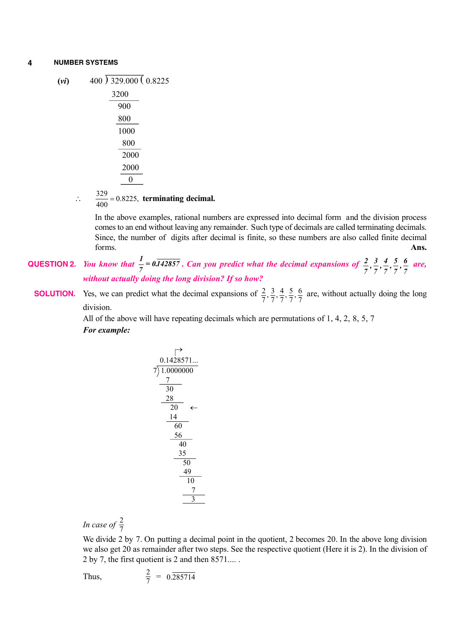$(vi)$  400  $\overline{)329.000}$  (0.8225) 3200

| ว∠เพ |
|------|
| 900  |
| 800  |
| 1000 |
| 800  |
| 2000 |
| 2000 |
|      |
|      |

 $\therefore$   $\frac{329}{400} = 0.8225$ , terminating decimal.

In the above examples, rational numbers are expressed into decimal form and the division process comes to an end without leaving any remainder. Such type of decimals are called terminating decimals. Since, the number of digits after decimal is finite, so these numbers are also called finite decimal forms. **Ans.**

### **QUESTION 2.** *You know that*  $\frac{1}{7} = 0.\overline{142857}$ *. Can you predict what the decimal expansions of*  $\frac{2}{7}, \frac{3}{7}, \frac{4}{7}, \frac{5}{7}, \frac{6}{7}$  *are, without actually doing the long division? If so how?*

**SOLUTION.** Yes, we can predict what the decimal expansions of  $\frac{2}{7}, \frac{3}{7}, \frac{4}{7}, \frac{5}{7}, \frac{6}{7}$  are, without actually doing the long division.

> All of the above will have repeating decimals which are permutations of 1, 4, 2, 8, 5, 7 *For example:*

$$
\begin{array}{r}\n \uparrow \\
0.1428571... \\
\hline\n 7)1.0000000 \\
\hline\n 7\n \end{array}\n \leftarrow\n \begin{array}{r}\n 0.1428571... \\
\hline\n 30\n \end{array}\n \leftarrow\n \begin{array}{r}\n 28\n \end{array}\n \leftarrow\n \begin{array}{r}\n 20\n \end{array}\n \leftarrow\n \begin{array}{r}\n 14\n \end{array}\n \leftarrow\n \begin{array}{r}\n 60\n \end{array}\n \leftarrow\n \begin{array}{r}\n 35\n \end{array}\n \leftarrow\n \begin{array}{r}\n 49\n \end{array}\n \leftarrow\n \begin{array}{r}\n 10\n \end{array}\n \leftarrow\n \begin{array}{r}\n 7\n \end{array}\n \leftarrow\n \begin{array}{r}\n 3\n \end{array}\n \leftarrow\n \end{array}
$$

*In case of*  $\frac{2}{7}$ 

We divide 2 by 7. On putting a decimal point in the quotient, 2 becomes 20. In the above long division we also get 20 as remainder after two steps. See the respective quotient (Here it is 2). In the division of 2 by 7, the first quotient is 2 and then 8571.... .

Thus, 
$$
\frac{2}{7} = 0.\overline{285714}
$$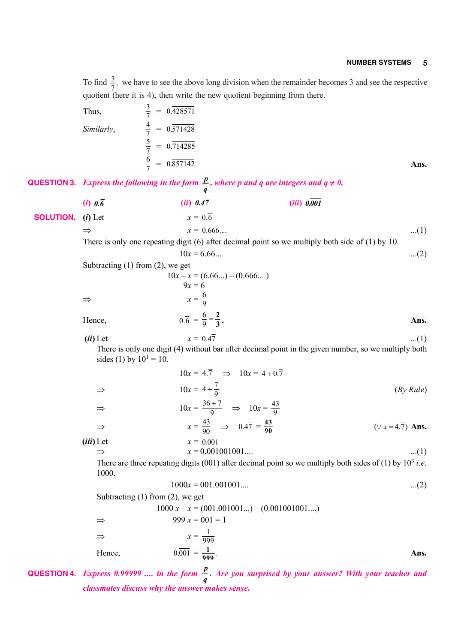To find  $\frac{3}{7}$ , we have to see the above long division when the remainder becomes 3 and see the respective quotient (here it is 4), then write the new quotient beginning from there.

Thus,  
\n
$$
\frac{3}{7} = 0.\overline{428571}
$$
  
\nSimilarly,  
\n $\frac{4}{7} = 0.\overline{571428}$   
\n $\frac{5}{7} = 0.\overline{714285}$   
\n $\frac{6}{7} = 0.\overline{857142}$ 

**QUESTION 3.** *Express the following in the form*  $\frac{p}{q}$ , *where p and q are integers and q*  $\neq 0$ *.* 

**(***i***)** *0.6* **(***ii***)** *0.47* **(***iii***)** *0.001*  **SOLUTION.** (*i*) Let  $x = 0.\overline{6}$  $\Rightarrow x = 0.666...$  ...(1)

> There is only one repeating digit (6) after decimal point so we multiply both side of (1) by 10.  $10x = 6.66...$  ...(2)

|               | Subtracting $(1)$ from $(2)$ , we get          |      |
|---------------|------------------------------------------------|------|
|               | $10x - x = (6.66) - (0.666)$                   |      |
|               | $9x = 6$                                       |      |
| $\Rightarrow$ | $x=\frac{6}{9}$                                |      |
| Hence,        | $0.\overline{6} = \frac{6}{9} = \frac{2}{3}$ . | Ans. |

(*ii*) Let  $x = 0.47$  ...(1) There is only one digit (4) without bar after decimal point in the given number, so we multiply both

sides (1) by  $10^1 = 10$ .  $10x = 4.\overline{7} \implies 10x = 4 + 0.\overline{7}$  $\Rightarrow$   $10x = 4 + \frac{7}{9}$  (*By Rule*)  $\Rightarrow$   $10x = \frac{36 + 7}{9}$ 9  $\frac{+7}{2}$   $\Rightarrow$   $10x = \frac{43}{8}$ 9  $\Rightarrow$   $x = \frac{43}{90}$   $\Rightarrow$   $0.47 = \frac{43}{90}$  $(: x = 4.\overline{7})$  **Ans.**  $(iii)$  Let  $x = 0.001$  $\Rightarrow x = 0.001001001...$  (1)

There are three repeating digits (001) after decimal point so we multiply both sides of (1) by  $10^3$  *i.e.* 1000.

$$
1000x = 001.001001.... \tag{2}
$$

Subtracting  $(1)$  from  $(2)$ , we get

1000 
$$
x - x = (001.001001...) - (0.001001001...)
$$
  
\n⇒ 999  $x = 001 = 1$   
\n⇒  $x = \frac{1}{999}$   
\nHence,  $0.\overline{001} = \frac{1}{999}$ .

## **QUESTION 4.** Express 0.99999 .... in the form  $\frac{p}{q}$ . Are you surprised by your answer? With your teacher and *classmates discuss why the answer makes sense***.**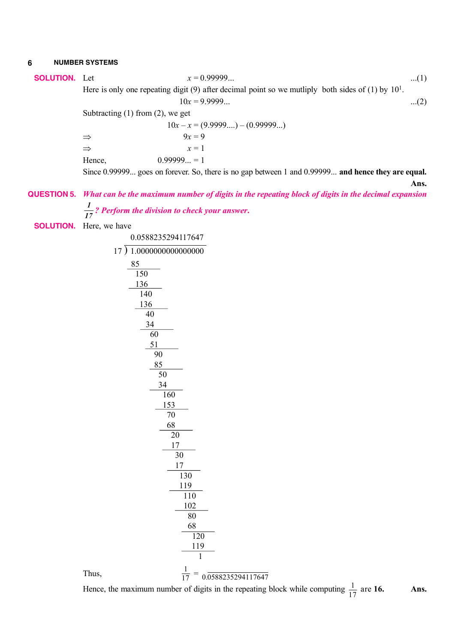**SOLUTION.** Let 
$$
x = 0.99999...
$$
 ... (1)

Here is only one repeating digit (9) after decimal point so we mutliply both sides of (1) by  $10<sup>1</sup>$ .  $10x = 9.9999...$  ...(2)

Subtracting (1) from (2), we get

 $10x - x = (9.9999...) - (0.99999...)$  $\Rightarrow$  9*x* = 9  $\Rightarrow$   $x=1$ Hence,  $0.999999... = 1$ 

Since 0.99999... goes on forever. So, there is no gap between 1 and 0.99999... **and hence they are equal.**

**Ans.**

# **QUESTION 5.** *What can be the maximum number of digits in the repeating block of digits in the decimal expansion 1 ? Perform the division to check your answer***.**

**SOLUTION.** Here, we have

Thus, <sup>1</sup>

Hence, the maximum number of digits in the repeating block while computing  $\frac{1}{17}$  are **16. Ans.**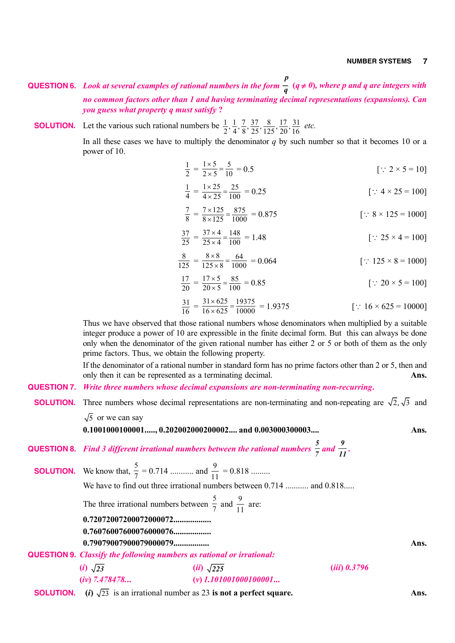- **QUESTION 6.** *Look at several examples of rational numbers in the form p*  $\frac{1}{q}$  ( $q \neq 0$ ), where p and q are integers with *no common factors other than 1 and having terminating decimal representations (expansions). Can you guess what property q must satisfy* **?**
- **SOLUTION.** Let the various such rational numbers be  $\frac{1}{2}$ ,  $\frac{1}{4}$ ,  $\frac{7}{8}$ ,  $\frac{37}{25}$ ,  $\frac{8}{125}$ ,  $\frac{17}{20}$ ,  $\frac{31}{16}$  *etc.*

In all these cases we have to multiply the denominator *q* by such number so that it becomes 10 or a power of 10.

$$
\frac{1}{2} = \frac{1 \times 5}{2 \times 5} = \frac{5}{10} = 0.5
$$
 [:: 2 × 5 = 10]

$$
\frac{1}{4} = \frac{1 \times 25}{4 \times 25} = \frac{25}{100} = 0.25
$$
 [:: 4 × 25 = 100]

$$
\frac{7}{8} = \frac{7 \times 125}{8 \times 125} = \frac{875}{1000} = 0.875
$$
 [:: 8 × 125 = 1000]

$$
\frac{37}{25} = \frac{37 \times 4}{25 \times 4} = \frac{148}{100} = 1.48
$$
 [:: 25 × 4 = 100]

$$
\frac{8}{125} = \frac{8 \times 8}{125 \times 8} = \frac{64}{1000} = 0.064
$$
 [:: 125 × 8 = 1000]

$$
\frac{17}{20} = \frac{17 \times 5}{20 \times 5} = \frac{85}{100} = 0.85
$$
 [:: 20 × 5 = 100]

$$
\frac{31}{16} = \frac{31 \times 625}{16 \times 625} = \frac{19375}{10000} = 1.9375
$$
 [:: 16 × 625 = 10000]

Thus we have observed that those rational numbers whose denominators when multiplied by a suitable integer produce a power of 10 are expressible in the finite decimal form. But this can always be done only when the denominator of the given rational number has either 2 or 5 or both of them as the only prime factors. Thus, we obtain the following property.

If the denominator of a rational number in standard form has no prime factors other than 2 or 5, then and only then it can be represented as a terminating decimal. **Ans.**

- **QUESTION 7.** *Write three numbers whose decimal expansions are non-terminating non-recurring***.**
- **SOLUTION.** Three numbers whose decimal representations are non-terminating and non-repeating are  $\sqrt{2}$ ,  $\sqrt{3}$  and

 $\sqrt{5}$  or we can say

**0.1001000100001....., 0.202002000200002.... and 0.003000300003.... Ans.**

**QUESTION 8.** *Find 3 different irrational numbers between the rational numbers 5*  $\frac{5}{7}$  and  $\frac{9}{11}$ .

**SOLUTION.** We know that,  $\frac{5}{7}$  $\frac{5}{7}$  = 0.714 ........... and  $\frac{9}{11}$  = 0.818 ......... We have to find out three irrational numbers between 0.714 ........... and 0.818..... The three irrational numbers between  $\frac{5}{7}$  $\frac{5}{7}$  and  $\frac{9}{1}$  $\frac{1}{11}$  are: **0.72072007200072000072.................. 0.76076007600076000076.................. 0.79079007900079000079................. Ans. QUESTION 9.** *Classify the following numbers as rational or irrational:* **(***i***)** *23* **(***ii***)** *225* **(***iii***)** *0.3796*

- **(***iv***)** *7.478478.***.. (***v***)** *1.101001000100001***...**
- **SOLUTION.** (*i*)  $\sqrt{23}$  is an irrational number as 23 **is not a perfect square. Ans.**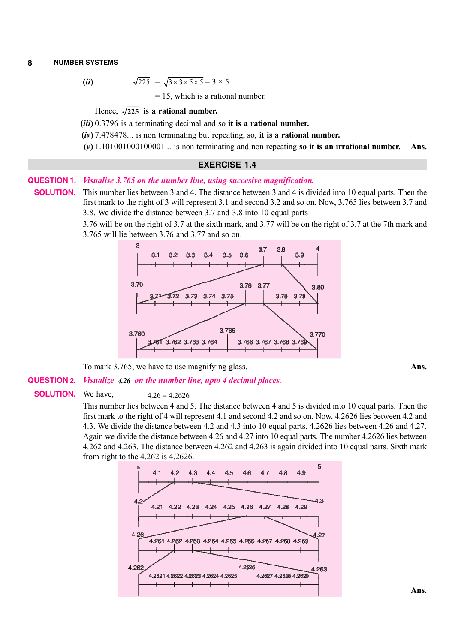$$
(ii)
$$

 $\sqrt{225} = \sqrt{3 \times 3 \times 5 \times 5} = 3 \times 5$ 

 $= 15$ , which is a rational number.

### Hence,  $\sqrt{225}$  is a rational number.

**(***iii***)** 0.3796 is a terminating decimal and so **it is a rational number.**

**(***iv***)** 7.478478... is non terminating but repeating, so, **it is a rational number.**

**(***v***)** 1.101001000100001... is non terminating and non repeating **so it is an irrational number. Ans.**

### **EXERCISE 1.4**

### **QUESTION 1.** *Visualise 3.765 on the number line, using succesive magnification.*

**SOLUTION.** This number lies between 3 and 4. The distance between 3 and 4 is divided into 10 equal parts. Then the first mark to the right of 3 will represent 3.1 and second 3.2 and so on. Now, 3.765 lies between 3.7 and 3.8. We divide the distance between 3.7 and 3.8 into 10 equal parts

> 3.76 will be on the right of 3.7 at the sixth mark, and 3.77 will be on the right of 3.7 at the 7th mark and 3.765 will lie between 3.76 and 3.77 and so on.



To mark 3.765, we have to use magnifying glass. **Ans.**

### **QUESTION 2.** *Visualize 4.26 on the number line, upto 4 decimal places.*

**SOLUTION.** We have,  $4\overline{26} = 4.2626$ 

This number lies between 4 and 5. The distance between 4 and 5 is divided into 10 equal parts. Then the first mark to the right of 4 will represent 4.1 and second 4.2 and so on. Now, 4.2626 lies between 4.2 and 4.3. We divide the distance between 4.2 and 4.3 into 10 equal parts. 4.2626 lies between 4.26 and 4.27. Again we divide the distance between 4.26 and 4.27 into 10 equal parts. The number 4.2626 lies between 4.262 and 4.263. The distance between 4.262 and 4.263 is again divided into 10 equal parts. Sixth mark from right to the 4.262 is 4.2626.

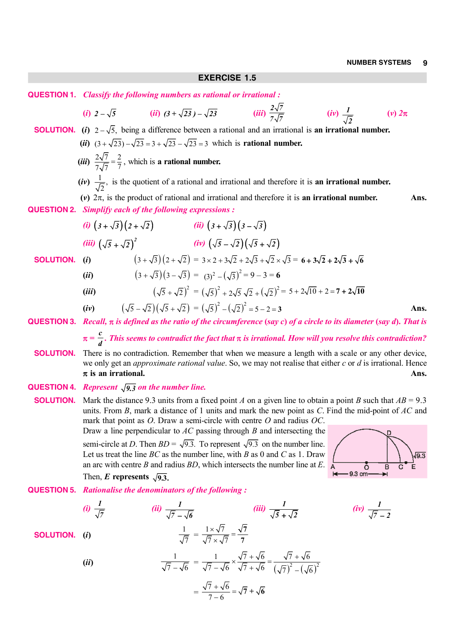### **EXERCISE 1.5**

|                    | <b>QUESTION 1.</b> Classify the following numbers as rational or irrational :            |                                                                                                |                                                                                                                                                                                                                                                                                                                                                                                         |                                          |                                             |
|--------------------|------------------------------------------------------------------------------------------|------------------------------------------------------------------------------------------------|-----------------------------------------------------------------------------------------------------------------------------------------------------------------------------------------------------------------------------------------------------------------------------------------------------------------------------------------------------------------------------------------|------------------------------------------|---------------------------------------------|
|                    | (i) $2-\sqrt{5}$ (ii) $(3+\sqrt{23})-\sqrt{23}$ (iii) $\frac{2\sqrt{7}}{7\sqrt{7}}$      |                                                                                                |                                                                                                                                                                                                                                                                                                                                                                                         | $(iv) \frac{1}{\sqrt{2}}$                | $(v)$ $2\pi$                                |
|                    |                                                                                          |                                                                                                | <b>SOLUTION.</b> (i) $2-\sqrt{5}$ , being a difference between a rational and an irrational is an irrational number.                                                                                                                                                                                                                                                                    |                                          |                                             |
|                    |                                                                                          |                                                                                                | ( <i>ii</i> ) $(3 + \sqrt{23}) - \sqrt{23} = 3 + \sqrt{23} - \sqrt{23} = 3$ which is <b>rational number.</b>                                                                                                                                                                                                                                                                            |                                          |                                             |
|                    | ( <i>iii</i> ) $\frac{2\sqrt{7}}{7\sqrt{7}} = \frac{2}{7}$ , which is a rational number. |                                                                                                |                                                                                                                                                                                                                                                                                                                                                                                         |                                          |                                             |
|                    |                                                                                          |                                                                                                | (iv) $\frac{1}{\sqrt{2}}$ , is the quotient of a rational and irrational and therefore it is an irrational number.                                                                                                                                                                                                                                                                      |                                          |                                             |
|                    |                                                                                          |                                                                                                | (v) $2\pi$ , is the product of rational and irrational and therefore it is an irrational number.                                                                                                                                                                                                                                                                                        |                                          | Ans.                                        |
| <b>QUESTION 2.</b> | Simplify each of the following expressions :                                             |                                                                                                |                                                                                                                                                                                                                                                                                                                                                                                         |                                          |                                             |
|                    | (i) $(3+\sqrt{3})(2+\sqrt{2})$ (ii) $(3+\sqrt{3})(3-\sqrt{3})$                           |                                                                                                |                                                                                                                                                                                                                                                                                                                                                                                         |                                          |                                             |
|                    | (iii) $(\sqrt{5} + \sqrt{2})^2$ (iv) $(\sqrt{5} - \sqrt{2})(\sqrt{5} + \sqrt{2})$        |                                                                                                |                                                                                                                                                                                                                                                                                                                                                                                         |                                          |                                             |
| <b>SOLUTION.</b>   | (i)                                                                                      |                                                                                                | $(3+\sqrt{3})(2+\sqrt{2}) = 3 \times 2 + 3\sqrt{2} + 2\sqrt{3} + \sqrt{2} \times \sqrt{3} = 6 + 3\sqrt{2} + 2\sqrt{3} + \sqrt{6}$                                                                                                                                                                                                                                                       |                                          |                                             |
|                    | (ii)                                                                                     | $(3+\sqrt{3})(3-\sqrt{3}) = (3)^2 - (\sqrt{3})^2 = 9-3=6$                                      |                                                                                                                                                                                                                                                                                                                                                                                         |                                          |                                             |
|                    | (iii)                                                                                    |                                                                                                | $(\sqrt{5} + \sqrt{2})^2 = (\sqrt{5})^2 + 2\sqrt{5} \sqrt{2} + (\sqrt{2})^2 = 5 + 2\sqrt{10} + 2 = 7 + 2\sqrt{10}$                                                                                                                                                                                                                                                                      |                                          |                                             |
|                    | (iv)                                                                                     | $(\sqrt{5} - \sqrt{2})(\sqrt{5} + \sqrt{2}) = (\sqrt{5})^2 - (\sqrt{2})^2 = 5 - 2 = 3$         |                                                                                                                                                                                                                                                                                                                                                                                         |                                          | Ans.                                        |
|                    |                                                                                          |                                                                                                | QUESTION 3. Recall, $\pi$ is defined as the ratio of the circumference (say c) of a circle to its diameter (say d). That is                                                                                                                                                                                                                                                             |                                          |                                             |
|                    |                                                                                          |                                                                                                | $\pi = \frac{c}{d}$ . This seems to contradict the fact that $\pi$ is irrational. How will you resolve this contradiction?                                                                                                                                                                                                                                                              |                                          |                                             |
| <b>SOLUTION.</b>   | $\pi$ is an irrational.                                                                  |                                                                                                | There is no contradiction. Remember that when we measure a length with a scale or any other device,<br>we only get an <i>approximate rational value</i> . So, we may not realise that either $c$ or $d$ is irrational. Hence                                                                                                                                                            |                                          | Ans.                                        |
|                    | <b>QUESTION 4.</b> Represent $\sqrt{9.3}$ on the number line.                            |                                                                                                |                                                                                                                                                                                                                                                                                                                                                                                         |                                          |                                             |
| <b>SOLUTION.</b>   |                                                                                          |                                                                                                | Mark the distance 9.3 units from a fixed point A on a given line to obtain a point B such that $AB = 9.3$<br>units. From $B$ , mark a distance of 1 units and mark the new point as $C$ . Find the mid-point of $AC$ and<br>mark that point as $O$ . Draw a semi-circle with centre $O$ and radius $OC$ .<br>Draw a line perpendicular to $AC$ passing through $B$ and intersecting the |                                          |                                             |
|                    | Then, E represents $\sqrt{9.3}$ .                                                        |                                                                                                | semi-circle at D. Then $BD = \sqrt{9.3}$ . To represent $\sqrt{9.3}$ on the number line.<br>Let us treat the line $BC$ as the number line, with B as 0 and C as 1. Draw<br>an arc with centre $B$ and radius $BD$ , which intersects the number line at $E$ .                                                                                                                           | $\circ$<br>$\leftarrow 9.3 \text{ cm} -$ | $\sqrt{9.3}$<br>E.<br>B<br>$\mathbf C$<br>→ |
| <b>QUESTION 5.</b> | <b>Rationalise the denominators of the following:</b>                                    |                                                                                                |                                                                                                                                                                                                                                                                                                                                                                                         |                                          |                                             |
|                    | (i) $\frac{1}{\sqrt{7}}$                                                                 | (ii) $\frac{1}{\sqrt{7} - \sqrt{6}}$                                                           | (iii) $\frac{1}{\sqrt{5} + \sqrt{2}}$                                                                                                                                                                                                                                                                                                                                                   | (iv) $\frac{1}{\sqrt{7}-2}$              |                                             |
| <b>SOLUTION.</b>   | (i)                                                                                      | $\frac{1}{\sqrt{7}} = \frac{1 \times \sqrt{7}}{\sqrt{7} \times \sqrt{7}} = \frac{\sqrt{7}}{7}$ |                                                                                                                                                                                                                                                                                                                                                                                         |                                          |                                             |
|                    | (ii)                                                                                     |                                                                                                | $\frac{1}{\sqrt{7}-\sqrt{6}} = \frac{1}{\sqrt{7}-\sqrt{6}} \times \frac{\sqrt{7}+\sqrt{6}}{\sqrt{7}+\sqrt{6}} = \frac{\sqrt{7}+\sqrt{6}}{(\sqrt{7})^2-(\sqrt{6})^2}$                                                                                                                                                                                                                    |                                          |                                             |

$$
=\frac{\sqrt{7}+\sqrt{6}}{7-6}=\sqrt{7}+\sqrt{6}
$$